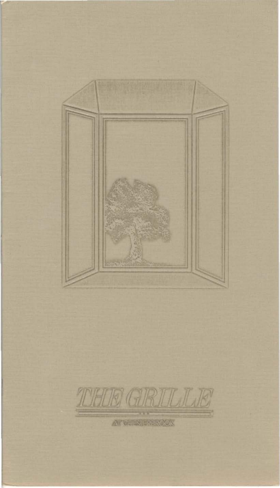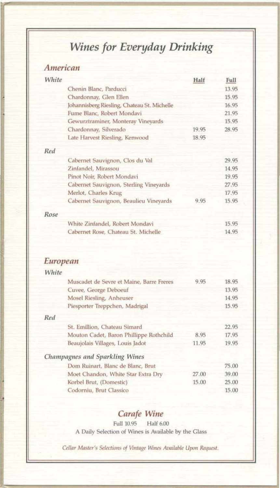### Wines for Everyday Drinking

### American

|                                          | Half                                                                                                                                                                                              | Full  |
|------------------------------------------|---------------------------------------------------------------------------------------------------------------------------------------------------------------------------------------------------|-------|
| Chenin Blanc, Parducci                   |                                                                                                                                                                                                   | 13.95 |
|                                          |                                                                                                                                                                                                   | 15.95 |
|                                          |                                                                                                                                                                                                   | 16.95 |
| Fume Blanc, Robert Mondavi               |                                                                                                                                                                                                   | 21.95 |
| Gewurztraminer, Monteray Vineyards       |                                                                                                                                                                                                   | 15.95 |
| Chardonnay, Silverado                    | 19.95                                                                                                                                                                                             | 28.95 |
| Late Harvest Riesling, Kenwood           | 18.95                                                                                                                                                                                             |       |
|                                          |                                                                                                                                                                                                   |       |
| Cabernet Sauvignon, Clos du Val          |                                                                                                                                                                                                   | 29.95 |
| Zinfandel, Mirassou                      |                                                                                                                                                                                                   | 14.95 |
| Pinot Noir, Robert Mondavi               |                                                                                                                                                                                                   | 19.95 |
| Cabernet Sauvignon, Sterling Vineyards   |                                                                                                                                                                                                   | 27.95 |
| Merlot, Charles Krug                     |                                                                                                                                                                                                   | 17.95 |
| Cabernet Sauvignon, Beaulieu Vineyards   | 9.95                                                                                                                                                                                              | 15.95 |
|                                          |                                                                                                                                                                                                   |       |
| White Zinfandel, Robert Mondavi          |                                                                                                                                                                                                   | 15.95 |
| Cabernet Rose, Chateau St. Michelle      |                                                                                                                                                                                                   | 14.95 |
|                                          |                                                                                                                                                                                                   |       |
|                                          |                                                                                                                                                                                                   |       |
| Muscadet de Sevre et Maine, Barre Freres | 9.95                                                                                                                                                                                              | 18.95 |
|                                          |                                                                                                                                                                                                   | 13.95 |
|                                          |                                                                                                                                                                                                   | 14.95 |
| Piesporter Treppchen, Madrigal           |                                                                                                                                                                                                   | 15.95 |
|                                          |                                                                                                                                                                                                   |       |
| St. Emillion, Chateau Simard             |                                                                                                                                                                                                   | 22.95 |
| Mouton Cadet, Baron Phillippe Rothchild  | 8.95                                                                                                                                                                                              | 17.95 |
| Beaujolais Villages, Louis Jadot         | 11.95                                                                                                                                                                                             | 19.95 |
|                                          |                                                                                                                                                                                                   |       |
| Dom Ruinart, Blanc de Blanc, Brut        |                                                                                                                                                                                                   | 75.00 |
| Moet Chandon, White Star Extra Dry       | 27.00                                                                                                                                                                                             | 39.00 |
|                                          |                                                                                                                                                                                                   |       |
| Korbel Brut, (Domestic)                  | 15.00                                                                                                                                                                                             | 25.00 |
|                                          | White<br>Chardonnay, Glen Ellen<br>Johannisberg Riesling, Chateau St. Michelle<br>European<br>White<br>Cuvee, George Deboeuf<br>Mosel Riesling, Anheuser<br><b>Champagnes and Sparkling Wines</b> |       |

#### Carafe Wine

Full 10.95 Half 6.00 A Daily Selection of Wines is Available by the Glass

Cellar Master's Selections of Vintage Wines Available Upon Request.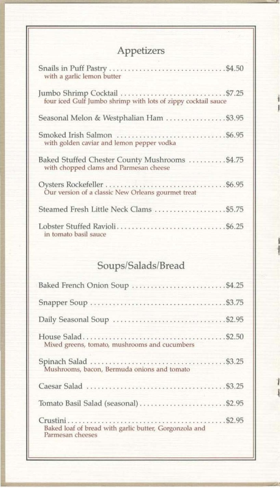# Appetizers

i

I

I

I

I

I

| with a garlic lemon butter                                                               |  |
|------------------------------------------------------------------------------------------|--|
| four iced Gulf Jumbo shrimp with lots of zippy cocktail sauce                            |  |
| Seasonal Melon & Westphalian Ham \$3.95                                                  |  |
| with golden caviar and lemon pepper vodka                                                |  |
| Baked Stuffed Chester County Mushrooms  \$4.75<br>with chopped clams and Parmesan cheese |  |
| Our version of a classic New Orleans gourmet treat                                       |  |
| Steamed Fresh Little Neck Clams  \$5.75                                                  |  |
| Lobster Stuffed Ravioli \$6.25<br>in tomato basil sauce                                  |  |

## *Soups/SaJadslBread*

| Baked French Onion Soup  \$4.25                                            |
|----------------------------------------------------------------------------|
|                                                                            |
| Daily Seasonal Soup  \$2.95                                                |
| Mixed greens, tomato, mushrooms and cucumbers                              |
| Mushrooms, bacon, Bermuda onions and tomato                                |
|                                                                            |
| Tomato Basil Salad (seasonal) \$2.95                                       |
| Baked loaf of bread with garlic butter, Gorgonzola and<br>Parmesan cheeses |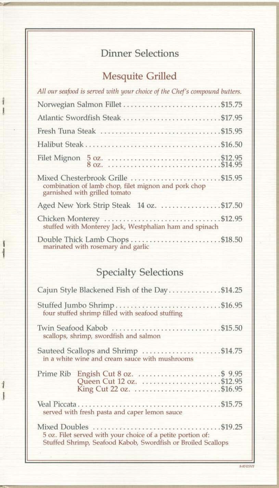### Dinner Selections

### Mesquite Grilled

I

I

I

i

I

I

| All our seafood is served with your choice of the Chef's compound butters.                                                  |
|-----------------------------------------------------------------------------------------------------------------------------|
| Norwegian Salmon Fillet \$15.75                                                                                             |
|                                                                                                                             |
| Fresh Tuna Steak \$15.95                                                                                                    |
|                                                                                                                             |
|                                                                                                                             |
| Mixed Chesterbrook Grille  \$15.95<br>combination of lamb chop, filet mignon and pork chop<br>garnished with grilled tomato |
|                                                                                                                             |
| stuffed with Monterey Jack, Westphalian ham and spinach                                                                     |
| Double Thick Lamb Chops \$18.50<br>marinated with rosemary and garlic                                                       |
|                                                                                                                             |

### Specialty Selections

| Cajun Style Blackened Fish of the Day\$14.25                                                                                |
|-----------------------------------------------------------------------------------------------------------------------------|
| Stuffed Jumbo Shrimp\$16.95<br>four stuffed shrimp filled with seafood stuffing                                             |
| Twin Seafood Kabob \$15.50<br>scallops, shrimp, swordfish and salmon                                                        |
| Sauteed Scallops and Shrimp \$14.75<br>in a white wine and cream sauce with mushrooms                                       |
| Queen Cut 12 oz. \$12.95                                                                                                    |
| served with fresh pasta and caper lemon sauce                                                                               |
| 5 oz. Filet served with your choice of a petite portion of:<br>Stuffed Shrimp, Seafood Kabob, Swordfish or Broiled Scallops |